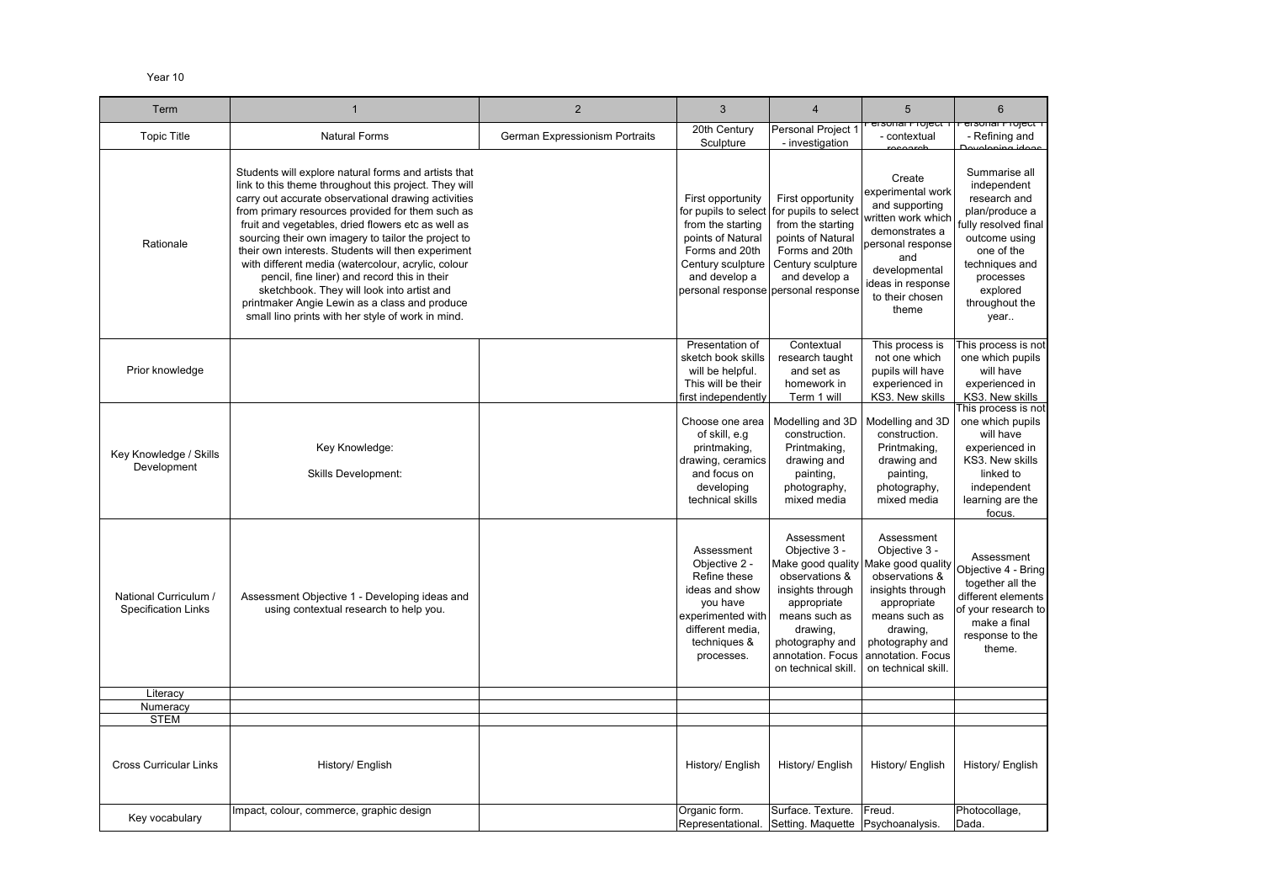## Year 10

| Term                                                |                                                                                                                                                                                                                                                                                                                                                                                                                                                                                                                                                                                                                                                       | $\overline{2}$                 | 3                                                                                                                                                | 4                                                                                                                                                                                  | 5                                                                                                                                                                                                                                      | $6\phantom{.}$                                                                                                                                                                            |
|-----------------------------------------------------|-------------------------------------------------------------------------------------------------------------------------------------------------------------------------------------------------------------------------------------------------------------------------------------------------------------------------------------------------------------------------------------------------------------------------------------------------------------------------------------------------------------------------------------------------------------------------------------------------------------------------------------------------------|--------------------------------|--------------------------------------------------------------------------------------------------------------------------------------------------|------------------------------------------------------------------------------------------------------------------------------------------------------------------------------------|----------------------------------------------------------------------------------------------------------------------------------------------------------------------------------------------------------------------------------------|-------------------------------------------------------------------------------------------------------------------------------------------------------------------------------------------|
| <b>Topic Title</b>                                  | <b>Natural Forms</b>                                                                                                                                                                                                                                                                                                                                                                                                                                                                                                                                                                                                                                  | German Expressionism Portraits | 20th Century<br>Sculpture                                                                                                                        | Personal Project 1<br>- investigation                                                                                                                                              | <del>hsunar muject</del><br>- contextual                                                                                                                                                                                               | <del>eisonai nioject</del><br>- Refining and<br>ممامنا ومنصمامين                                                                                                                          |
| Rationale                                           | Students will explore natural forms and artists that<br>link to this theme throughout this project. They will<br>carry out accurate observational drawing activities<br>from primary resources provided for them such as<br>fruit and vegetables, dried flowers etc as well as<br>sourcing their own imagery to tailor the project to<br>their own interests. Students will then experiment<br>with different media (watercolour, acrylic, colour<br>pencil, fine liner) and record this in their<br>sketchbook. They will look into artist and<br>printmaker Angie Lewin as a class and produce<br>small lino prints with her style of work in mind. |                                | First opportunity<br>for pupils to select<br>from the starting<br>points of Natural<br>Forms and 20th<br>Century sculpture<br>and develop a      | First opportunity<br>for pupils to select<br>from the starting<br>points of Natural<br>Forms and 20th<br>Century sculpture<br>and develop a<br>personal response personal response | Create<br>experimental work<br>and supporting<br>written work which<br>demonstrates a<br>personal response<br>and<br>developmental<br>ideas in response<br>to their chosen<br>theme                                                    | Summarise all<br>independent<br>research and<br>plan/produce a<br>fully resolved fina<br>outcome using<br>one of the<br>techniques and<br>processes<br>explored<br>throughout the<br>year |
| Prior knowledge                                     |                                                                                                                                                                                                                                                                                                                                                                                                                                                                                                                                                                                                                                                       |                                | Presentation of<br>sketch book skills<br>will be helpful.<br>This will be their<br>first independently                                           | Contextual<br>research taught<br>and set as<br>homework in<br>Term 1 will                                                                                                          | This process is<br>not one which<br>pupils will have<br>experienced in<br>KS3. New skills                                                                                                                                              | This process is n<br>one which pupils<br>will have<br>experienced in<br>KS3. New skills                                                                                                   |
| Key Knowledge / Skills<br>Development               | Key Knowledge:<br><b>Skills Development:</b>                                                                                                                                                                                                                                                                                                                                                                                                                                                                                                                                                                                                          |                                | Choose one area<br>of skill, e.g<br>printmaking,<br>drawing, ceramics<br>and focus on<br>developing<br>technical skills                          | Modelling and 3D<br>construction.<br>Printmaking,<br>drawing and<br>painting,<br>photography,<br>mixed media                                                                       | Modelling and 3D<br>construction.<br>Printmaking,<br>drawing and<br>painting,<br>photography,<br>mixed media                                                                                                                           | This process is n<br>one which pupils<br>will have<br>experienced in<br>KS3. New skills<br>linked to<br>independent<br>learning are the<br>focus.                                         |
| National Curriculum /<br><b>Specification Links</b> | Assessment Objective 1 - Developing ideas and<br>using contextual research to help you.                                                                                                                                                                                                                                                                                                                                                                                                                                                                                                                                                               |                                | Assessment<br>Objective 2 -<br>Refine these<br>ideas and show<br>you have<br>experimented with<br>different media,<br>techniques &<br>processes. | Assessment<br>Objective 3 -<br>observations &<br>insights through<br>appropriate<br>means such as<br>drawing,<br>photography and<br>annotation. Focus<br>on technical skill        | Assessment<br>Objective 3 -<br>Make good quality Make good quality Objective 4 - Brir<br>observations &<br>insights through<br>appropriate<br>means such as<br>drawing,<br>photography and<br>annotation. Focus<br>on technical skill. | together all the<br>different element<br>of your research<br>make a final<br>response to the<br>theme.                                                                                    |
| Literacy                                            |                                                                                                                                                                                                                                                                                                                                                                                                                                                                                                                                                                                                                                                       |                                |                                                                                                                                                  |                                                                                                                                                                                    |                                                                                                                                                                                                                                        |                                                                                                                                                                                           |
| Numeracy                                            |                                                                                                                                                                                                                                                                                                                                                                                                                                                                                                                                                                                                                                                       |                                |                                                                                                                                                  |                                                                                                                                                                                    |                                                                                                                                                                                                                                        |                                                                                                                                                                                           |
| <b>STEM</b><br><b>Cross Curricular Links</b>        | History/ English<br>Impact, colour, commerce, graphic design                                                                                                                                                                                                                                                                                                                                                                                                                                                                                                                                                                                          |                                | History/ English<br>Organic form.                                                                                                                | History/ English<br>Surface. Texture.                                                                                                                                              | History/ English<br>Freud.                                                                                                                                                                                                             | History/ English<br>Photocollage,                                                                                                                                                         |
| Key vocabulary                                      |                                                                                                                                                                                                                                                                                                                                                                                                                                                                                                                                                                                                                                                       |                                |                                                                                                                                                  | Representational. Setting. Maquette Psychoanalysis.                                                                                                                                |                                                                                                                                                                                                                                        | Dada.                                                                                                                                                                                     |

| 6                                                                                                                                                                                                                                                        |
|----------------------------------------------------------------------------------------------------------------------------------------------------------------------------------------------------------------------------------------------------------|
| <del>sisonal nioject</del><br>- Refining and                                                                                                                                                                                                             |
| Summarise all<br>independent<br>research and<br>plan/produce a<br>fully resolved final<br>outcome using<br>one of the<br>techniques and<br>processes<br>explored<br>throughout the<br>year                                                               |
| This process is not<br>one which pupils<br>will have<br>experienced in<br>KS3. New skills<br>This process is not<br>one which pupils<br>will have<br>experienced in<br>KS3. New skills<br>linked to<br>independent<br>learning are the<br>foc <u>us.</u> |
| Assessment<br>Objective 4 - E<br>ring<br>together all the<br>different elements<br>of your research to<br>make a final<br>response to the<br>theme.                                                                                                      |
|                                                                                                                                                                                                                                                          |
|                                                                                                                                                                                                                                                          |
| History/ English                                                                                                                                                                                                                                         |
| Photocollage,<br>Dada.                                                                                                                                                                                                                                   |